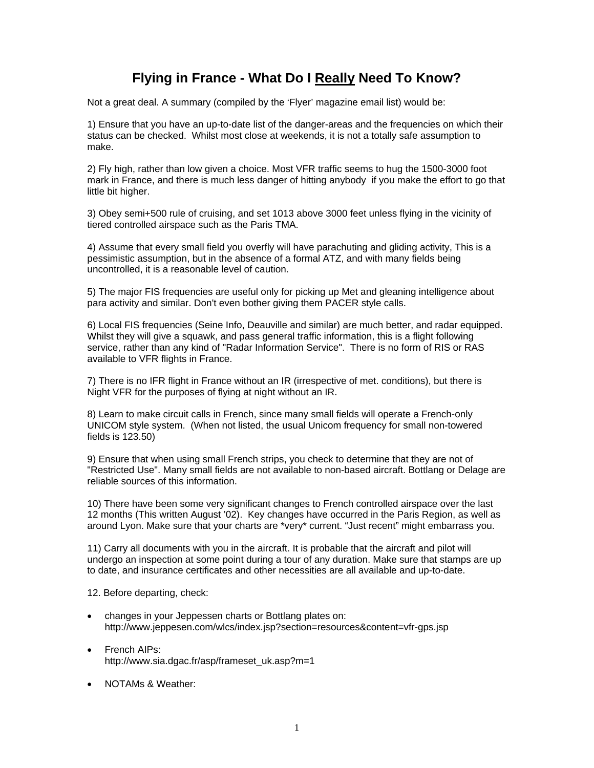## **Flying in France - What Do I Really Need To Know?**

Not a great deal. A summary (compiled by the 'Flyer' magazine email list) would be:

1) Ensure that you have an up-to-date list of the danger-areas and the frequencies on which their status can be checked. Whilst most close at weekends, it is not a totally safe assumption to make.

2) Fly high, rather than low given a choice. Most VFR traffic seems to hug the 1500-3000 foot mark in France, and there is much less danger of hitting anybody if you make the effort to go that little bit higher.

3) Obey semi+500 rule of cruising, and set 1013 above 3000 feet unless flying in the vicinity of tiered controlled airspace such as the Paris TMA.

4) Assume that every small field you overfly will have parachuting and gliding activity, This is a pessimistic assumption, but in the absence of a formal ATZ, and with many fields being uncontrolled, it is a reasonable level of caution.

5) The major FIS frequencies are useful only for picking up Met and gleaning intelligence about para activity and similar. Don't even bother giving them PACER style calls.

6) Local FIS frequencies (Seine Info, Deauville and similar) are much better, and radar equipped. Whilst they will give a squawk, and pass general traffic information, this is a flight following service, rather than any kind of "Radar Information Service". There is no form of RIS or RAS available to VFR flights in France.

7) There is no IFR flight in France without an IR (irrespective of met. conditions), but there is Night VFR for the purposes of flying at night without an IR.

8) Learn to make circuit calls in French, since many small fields will operate a French-only UNICOM style system. (When not listed, the usual Unicom frequency for small non-towered fields is 123.50)

9) Ensure that when using small French strips, you check to determine that they are not of "Restricted Use". Many small fields are not available to non-based aircraft. Bottlang or Delage are reliable sources of this information.

10) There have been some very significant changes to French controlled airspace over the last 12 months (This written August '02). Key changes have occurred in the Paris Region, as well as around Lyon. Make sure that your charts are \*very\* current. "Just recent" might embarrass you.

11) Carry all documents with you in the aircraft. It is probable that the aircraft and pilot will undergo an inspection at some point during a tour of any duration. Make sure that stamps are up to date, and insurance certificates and other necessities are all available and up-to-date.

12. Before departing, check:

- changes in your Jeppessen charts or Bottlang plates on: http://www.jeppesen.com/wlcs/index.jsp?section=resources&content=vfr-gps.jsp
- French AIPs: http://www.sia.dgac.fr/asp/frameset\_uk.asp?m=1
- NOTAMs & Weather: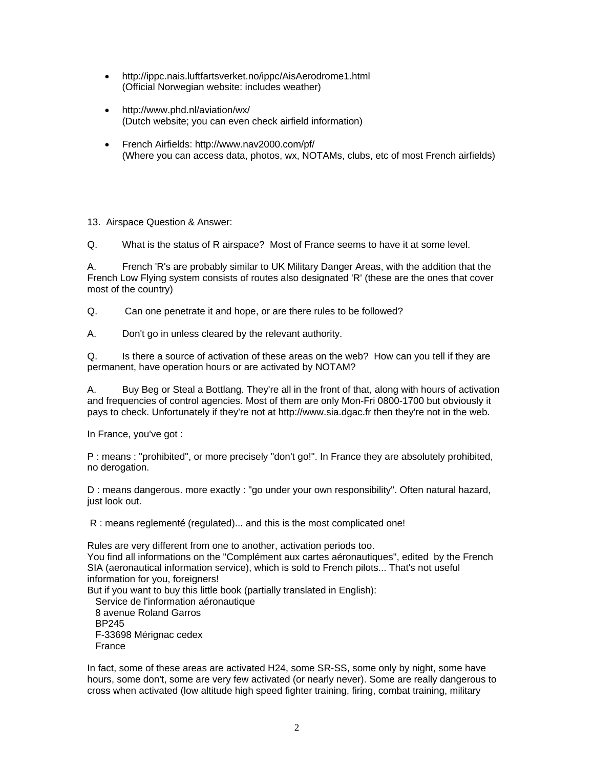- http://ippc.nais.luftfartsverket.no/ippc/AisAerodrome1.html (Official Norwegian website: includes weather)
- http://www.phd.nl/aviation/wx/ (Dutch website; you can even check airfield information)
- French Airfields: http://www.nav2000.com/pf/ (Where you can access data, photos, wx, NOTAMs, clubs, etc of most French airfields)

13. Airspace Question & Answer:

Q. What is the status of R airspace? Most of France seems to have it at some level.

A. French 'R's are probably similar to UK Military Danger Areas, with the addition that the French Low Flying system consists of routes also designated 'R' (these are the ones that cover most of the country)

Q. Can one penetrate it and hope, or are there rules to be followed?

A. Don't go in unless cleared by the relevant authority.

Q. Is there a source of activation of these areas on the web? How can you tell if they are permanent, have operation hours or are activated by NOTAM?

A. Buy Beg or Steal a Bottlang. They're all in the front of that, along with hours of activation and frequencies of control agencies. Most of them are only Mon-Fri 0800-1700 but obviously it pays to check. Unfortunately if they're not at http://www.sia.dgac.fr then they're not in the web.

In France, you've got :

P : means : "prohibited", or more precisely "don't go!". In France they are absolutely prohibited, no derogation.

D : means dangerous. more exactly : "go under your own responsibility". Often natural hazard, just look out.

R : means reglementé (regulated)... and this is the most complicated one!

Rules are very different from one to another, activation periods too. You find all informations on the "Complément aux cartes aéronautiques", edited by the French SIA (aeronautical information service), which is sold to French pilots... That's not useful information for you, foreigners! But if you want to buy this little book (partially translated in English): Service de l'information aéronautique 8 avenue Roland Garros BP245 F-33698 Mérignac cedex France

In fact, some of these areas are activated H24, some SR-SS, some only by night, some have hours, some don't, some are very few activated (or nearly never). Some are really dangerous to cross when activated (low altitude high speed fighter training, firing, combat training, military